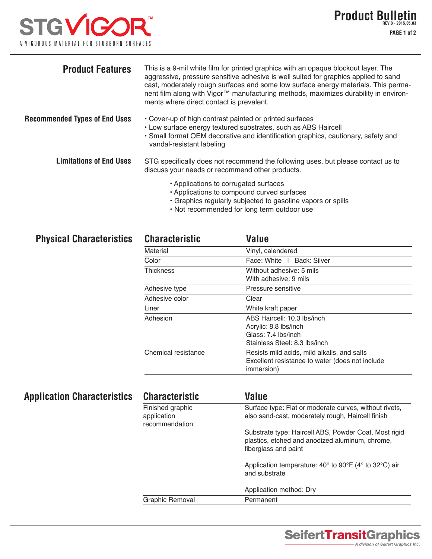## **STGVIGOF** A VIGOROUS MATERIAL FOR STUBBORN SURFACES

| <b>Product Features</b>              | This is a 9-mil white film for printed graphics with an opaque blockout layer. The<br>aggressive, pressure sensitive adhesive is well suited for graphics applied to sand<br>cast, moderately rough surfaces and some low surface energy materials. This perma-<br>nent film along with Vigor™ manufacturing methods, maximizes durability in environ-<br>ments where direct contact is prevalent. |
|--------------------------------------|----------------------------------------------------------------------------------------------------------------------------------------------------------------------------------------------------------------------------------------------------------------------------------------------------------------------------------------------------------------------------------------------------|
| <b>Recommended Types of End Uses</b> | • Cover-up of high contrast painted or printed surfaces<br>• Low surface energy textured substrates, such as ABS Haircell<br>• Small format OEM decorative and identification graphics, cautionary, safety and<br>vandal-resistant labeling                                                                                                                                                        |
| <b>Limitations of End Uses</b>       | STG specifically does not recommend the following uses, but please contact us to<br>discuss your needs or recommend other products.                                                                                                                                                                                                                                                                |
|                                      | • Applications to corrugated surfaces<br>• Applications to compound curved surfaces                                                                                                                                                                                                                                                                                                                |

- Graphics regularly subjected to gasoline vapors or spills
- Not recommended for long term outdoor use

|  | <b>Physical Characteristics</b> |
|--|---------------------------------|
|--|---------------------------------|

| <b>Characteristic</b> | Value                                                                                                                |  |  |
|-----------------------|----------------------------------------------------------------------------------------------------------------------|--|--|
| Material              | Vinyl, calendered                                                                                                    |  |  |
| Color                 | Face: White   Back: Silver                                                                                           |  |  |
| Thickness             | Without adhesive: 5 mils<br>With adhesive: 9 mils                                                                    |  |  |
| Adhesive type         | Pressure sensitive                                                                                                   |  |  |
| Adhesive color        | Clear                                                                                                                |  |  |
| Liner                 | White kraft paper                                                                                                    |  |  |
| Adhesion              | ABS Haircell: 10.3 lbs/inch<br>Acrylic: 8.8 lbs/inch<br>Glass: 7.4 lbs/inch<br>Stainless Steel: 8.3 lbs/inch         |  |  |
| Chemical resistance   | Resists mild acids, mild alkalis, and salts<br>Excellent resistance to water (does not include<br><i>immersion</i> ) |  |  |

| <b>Application Characteristics</b> | <b>Characteristic</b>         | <b>Value</b>                                                                                                                     |
|------------------------------------|-------------------------------|----------------------------------------------------------------------------------------------------------------------------------|
|                                    | Finished graphic              | Surface type: Flat or moderate curves, without rivets,                                                                           |
|                                    | application<br>recommendation | also sand-cast, moderately rough, Haircell finish                                                                                |
|                                    |                               | Substrate type: Haircell ABS, Powder Coat, Most rigid<br>plastics, etched and anodized aluminum, chrome,<br>fiberglass and paint |
|                                    |                               |                                                                                                                                  |
|                                    |                               | Application method: Dry                                                                                                          |
|                                    | Graphic Removal               | Permanent                                                                                                                        |
|                                    |                               |                                                                                                                                  |